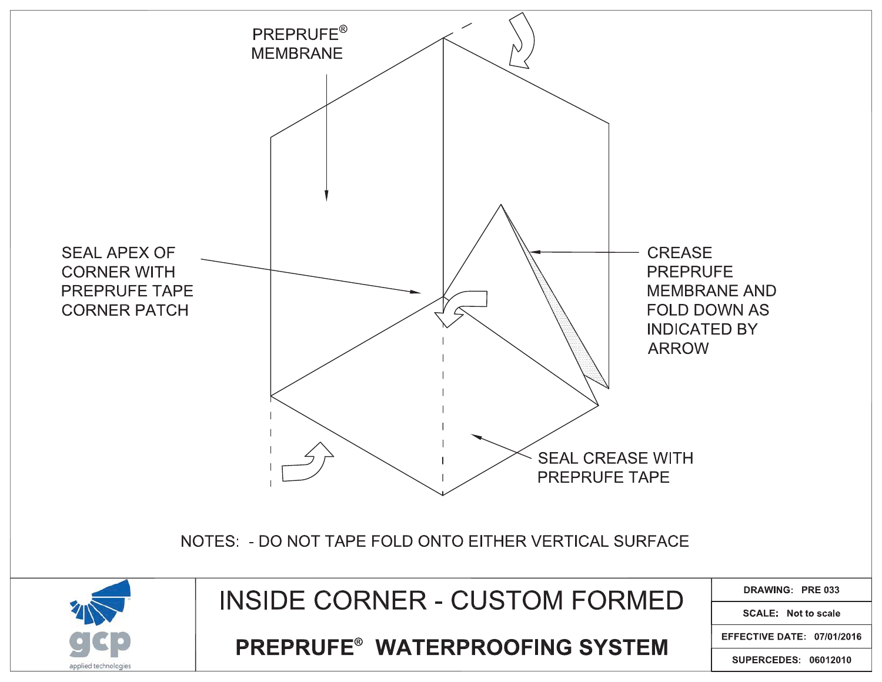